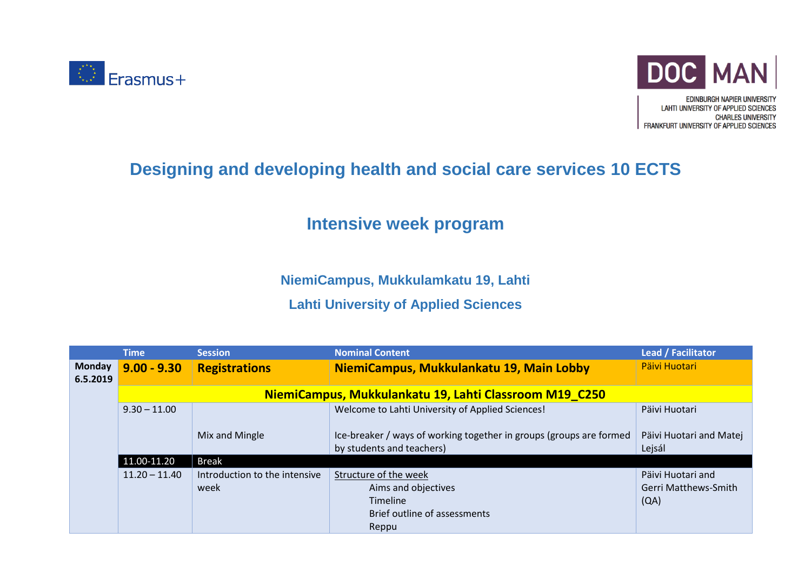



**EDINBURGH NAPIER UNIVERSITY LAHTI UNIVERSITY OF APPLIED SCIENCES CHARLES UNIVERSITY** FRANKFURT UNIVERSITY OF APPLIED SCIENCES

## **Designing and developing health and social care services 10 ECTS**

## **Intensive week program**

**NiemiCampus, Mukkulamkatu 19, Lahti**

## **Lahti University of Applied Sciences**

|                           | <b>Time</b>                                            | <b>Session</b>                        | <b>Nominal Content</b>                                                                            | Lead / Facilitator                                       |  |  |
|---------------------------|--------------------------------------------------------|---------------------------------------|---------------------------------------------------------------------------------------------------|----------------------------------------------------------|--|--|
| <b>Monday</b><br>6.5.2019 | $9.00 - 9.30$                                          | <b>Registrations</b>                  | NiemiCampus, Mukkulankatu 19, Main Lobby                                                          | Päivi Huotari                                            |  |  |
|                           | NiemiCampus, Mukkulankatu 19, Lahti Classroom M19_C250 |                                       |                                                                                                   |                                                          |  |  |
|                           | $9.30 - 11.00$                                         |                                       | Welcome to Lahti University of Applied Sciences!                                                  | Päivi Huotari                                            |  |  |
|                           |                                                        | Mix and Mingle                        | Ice-breaker / ways of working together in groups (groups are formed<br>by students and teachers)  | Päivi Huotari and Matej<br>Lejsál                        |  |  |
|                           | 11.00-11.20                                            | <b>Break</b>                          |                                                                                                   |                                                          |  |  |
|                           | $11.20 - 11.40$                                        | Introduction to the intensive<br>week | Structure of the week<br>Aims and objectives<br>Timeline<br>Brief outline of assessments<br>Reppu | Päivi Huotari and<br><b>Gerri Matthews-Smith</b><br>(QA) |  |  |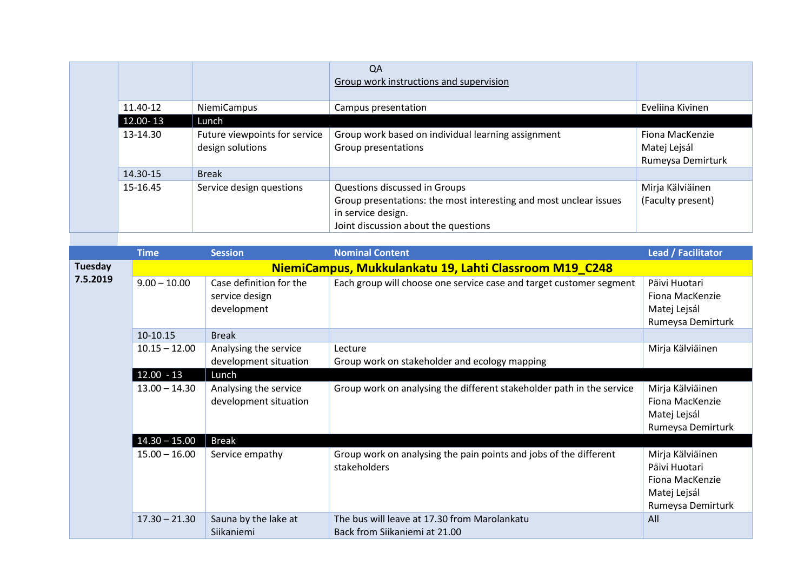|          |                                                   | <b>QA</b><br>Group work instructions and supervision                                                                                                             |                                                      |
|----------|---------------------------------------------------|------------------------------------------------------------------------------------------------------------------------------------------------------------------|------------------------------------------------------|
| 11.40-12 | <b>NiemiCampus</b>                                | Campus presentation                                                                                                                                              | Eveliina Kivinen                                     |
| 12.00-13 | Lunch                                             |                                                                                                                                                                  |                                                      |
| 13-14.30 | Future viewpoints for service<br>design solutions | Group work based on individual learning assignment<br>Group presentations                                                                                        | Fiona MacKenzie<br>Matej Lejsál<br>Rumeysa Demirturk |
| 14.30-15 | <b>Break</b>                                      |                                                                                                                                                                  |                                                      |
| 15-16.45 | Service design questions                          | Questions discussed in Groups<br>Group presentations: the most interesting and most unclear issues<br>in service design.<br>Joint discussion about the questions | Mirja Kälviäinen<br>(Faculty present)                |

|                     | <b>Time</b>                                            | <b>Session</b>                                           | <b>Nominal Content</b>                                                            | Lead / Facilitator                                                                        |  |  |
|---------------------|--------------------------------------------------------|----------------------------------------------------------|-----------------------------------------------------------------------------------|-------------------------------------------------------------------------------------------|--|--|
| Tuesday<br>7.5.2019 | NiemiCampus, Mukkulankatu 19, Lahti Classroom M19_C248 |                                                          |                                                                                   |                                                                                           |  |  |
|                     | $9.00 - 10.00$                                         | Case definition for the<br>service design<br>development | Each group will choose one service case and target customer segment               | Päivi Huotari<br>Fiona MacKenzie<br>Matej Lejsál<br>Rumeysa Demirturk                     |  |  |
|                     | 10-10.15                                               | <b>Break</b>                                             |                                                                                   |                                                                                           |  |  |
|                     | $10.15 - 12.00$                                        | Analysing the service<br>development situation           | Lecture<br>Group work on stakeholder and ecology mapping                          | Mirja Kälviäinen                                                                          |  |  |
|                     | $12.00 - 13$                                           | Lunch                                                    |                                                                                   |                                                                                           |  |  |
|                     | $13.00 - 14.30$                                        | Analysing the service<br>development situation           | Group work on analysing the different stakeholder path in the service             | Mirja Kälviäinen<br>Fiona MacKenzie<br>Matej Lejsál<br>Rumeysa Demirturk                  |  |  |
|                     | $14.30 - 15.00$                                        | <b>Break</b>                                             |                                                                                   |                                                                                           |  |  |
|                     | $15.00 - 16.00$                                        | Service empathy                                          | Group work on analysing the pain points and jobs of the different<br>stakeholders | Mirja Kälviäinen<br>Päivi Huotari<br>Fiona MacKenzie<br>Matej Lejsál<br>Rumeysa Demirturk |  |  |
|                     | $17.30 - 21.30$                                        | Sauna by the lake at<br>Siikaniemi                       | The bus will leave at 17.30 from Marolankatu<br>Back from Siikaniemi at 21.00     | All                                                                                       |  |  |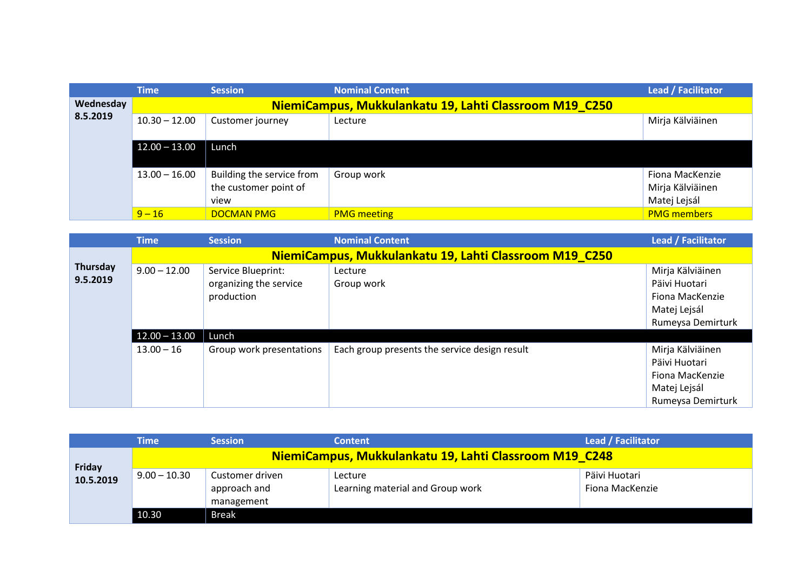|                       | <b>Time</b>                                            | <b>Session</b>            | <b>Nominal Content</b> | Lead / Facilitator |  |  |
|-----------------------|--------------------------------------------------------|---------------------------|------------------------|--------------------|--|--|
| Wednesday<br>8.5.2019 | NiemiCampus, Mukkulankatu 19, Lahti Classroom M19 C250 |                           |                        |                    |  |  |
|                       | $10.30 - 12.00$                                        | Customer journey          | Lecture                | Mirja Kälviäinen   |  |  |
|                       | $12.00 - 13.00$                                        | Lunch                     |                        |                    |  |  |
|                       | $13.00 - 16.00$                                        | Building the service from | Group work             | Fiona MacKenzie    |  |  |
|                       |                                                        | the customer point of     |                        | Mirja Kälviäinen   |  |  |
|                       |                                                        | view                      |                        | Matej Lejsál       |  |  |
|                       | $9 - 16$                                               | <b>DOCMAN PMG</b>         | <b>PMG meeting</b>     | <b>PMG members</b> |  |  |

|                      | <b>Time</b>                                            | <b>Session</b>           | <b>Nominal Content</b>                        | <b>Lead / Facilitator</b> |  |
|----------------------|--------------------------------------------------------|--------------------------|-----------------------------------------------|---------------------------|--|
|                      | NiemiCampus, Mukkulankatu 19, Lahti Classroom M19 C250 |                          |                                               |                           |  |
| Thursday<br>9.5.2019 | $9.00 - 12.00$                                         | Service Blueprint:       | Lecture                                       | Mirja Kälviäinen          |  |
|                      |                                                        | organizing the service   | Group work                                    | Päivi Huotari             |  |
|                      |                                                        | production               |                                               | Fiona MacKenzie           |  |
|                      |                                                        |                          |                                               | Matej Lejsál              |  |
|                      |                                                        |                          |                                               | Rumeysa Demirturk         |  |
|                      | $12.00 - 13.00$                                        | Lunch                    |                                               |                           |  |
|                      | $13.00 - 16$                                           | Group work presentations | Each group presents the service design result | Mirja Kälviäinen          |  |
|                      |                                                        |                          |                                               | Päivi Huotari             |  |
|                      |                                                        |                          |                                               | Fiona MacKenzie           |  |
|                      |                                                        |                          |                                               | Matej Lejsál              |  |
|                      |                                                        |                          |                                               | Rumeysa Demirturk         |  |

|                            | Time                                                   | <b>Session</b>                                | <b>Content</b>                              | Lead / Facilitator               |  |
|----------------------------|--------------------------------------------------------|-----------------------------------------------|---------------------------------------------|----------------------------------|--|
| <b>Friday</b><br>10.5.2019 | NiemiCampus, Mukkulankatu 19, Lahti Classroom M19 C248 |                                               |                                             |                                  |  |
|                            | $9.00 - 10.30$                                         | Customer driven<br>approach and<br>management | Lecture<br>Learning material and Group work | Päivi Huotari<br>Fiona MacKenzie |  |
|                            | 10.30                                                  | <b>Break</b>                                  |                                             |                                  |  |